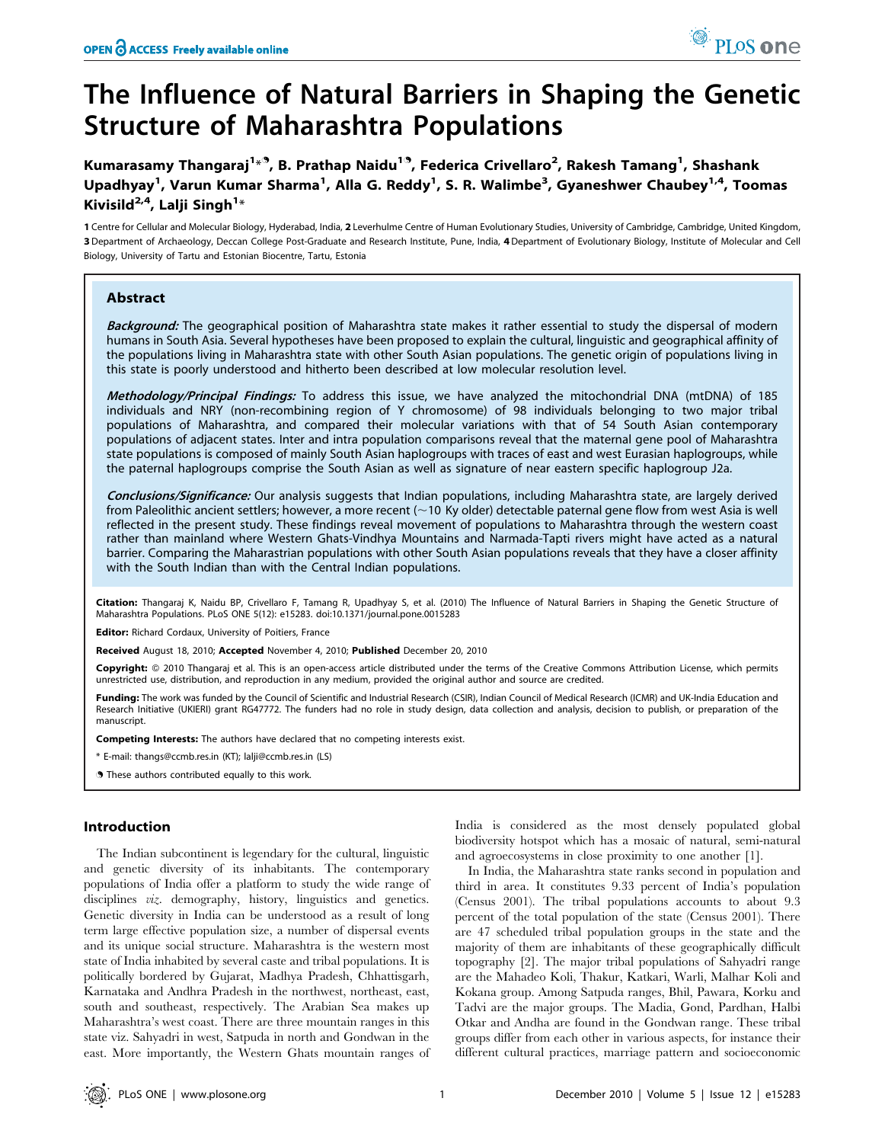Kumarasamy Thangaraj<sup>1<sub>\*</sub>9,</sup> B. Prathap Naidu<sup>19</sup>, Federica Crivellaro<sup>2</sup>, Rakesh Tamang<sup>1</sup>, Shashank Upadhyay<sup>1</sup>, Varun Kumar Sharma<sup>1</sup>, Alla G. Reddy<sup>1</sup>, S. R. Walimbe<sup>3</sup>, Gyaneshwer Chaubey<sup>1,4</sup>, Toomas Kivisild $^{2,4}$ , Lalji Singh $^{1\ast}$ 

1 Centre for Cellular and Molecular Biology, Hyderabad, India, 2 Leverhulme Centre of Human Evolutionary Studies, University of Cambridge, Cambridge, United Kingdom, 3 Department of Archaeology, Deccan College Post-Graduate and Research Institute, Pune, India, 4 Department of Evolutionary Biology, Institute of Molecular and Cell Biology, University of Tartu and Estonian Biocentre, Tartu, Estonia

# Abstract

Background: The geographical position of Maharashtra state makes it rather essential to study the dispersal of modern humans in South Asia. Several hypotheses have been proposed to explain the cultural, linguistic and geographical affinity of the populations living in Maharashtra state with other South Asian populations. The genetic origin of populations living in this state is poorly understood and hitherto been described at low molecular resolution level.

Methodology/Principal Findings: To address this issue, we have analyzed the mitochondrial DNA (mtDNA) of 185 individuals and NRY (non-recombining region of Y chromosome) of 98 individuals belonging to two major tribal populations of Maharashtra, and compared their molecular variations with that of 54 South Asian contemporary populations of adjacent states. Inter and intra population comparisons reveal that the maternal gene pool of Maharashtra state populations is composed of mainly South Asian haplogroups with traces of east and west Eurasian haplogroups, while the paternal haplogroups comprise the South Asian as well as signature of near eastern specific haplogroup J2a.

Conclusions/Significance: Our analysis suggests that Indian populations, including Maharashtra state, are largely derived from Paleolithic ancient settlers; however, a more recent ( $\sim$ 10 Ky older) detectable paternal gene flow from west Asia is well reflected in the present study. These findings reveal movement of populations to Maharashtra through the western coast rather than mainland where Western Ghats-Vindhya Mountains and Narmada-Tapti rivers might have acted as a natural barrier. Comparing the Maharastrian populations with other South Asian populations reveals that they have a closer affinity with the South Indian than with the Central Indian populations.

Citation: Thangaraj K, Naidu BP, Crivellaro F, Tamang R, Upadhyay S, et al. (2010) The Influence of Natural Barriers in Shaping the Genetic Structure of Maharashtra Populations. PLoS ONE 5(12): e15283. doi:10.1371/journal.pone.0015283

Editor: Richard Cordaux, University of Poitiers, France

Received August 18, 2010; Accepted November 4, 2010; Published December 20, 2010

Copyright: © 2010 Thangaraj et al. This is an open-access article distributed under the terms of the Creative Commons Attribution License, which permits unrestricted use, distribution, and reproduction in any medium, provided the original author and source are credited.

Funding: The work was funded by the Council of Scientific and Industrial Research (CSIR), Indian Council of Medical Research (ICMR) and UK-India Education and Research Initiative (UKIERI) grant RG47772. The funders had no role in study design, data collection and analysis, decision to publish, or preparation of the manuscript.

Competing Interests: The authors have declared that no competing interests exist.

\* E-mail: thangs@ccmb.res.in (KT); lalji@ccmb.res.in (LS)

**.** These authors contributed equally to this work.

### Introduction

The Indian subcontinent is legendary for the cultural, linguistic and genetic diversity of its inhabitants. The contemporary populations of India offer a platform to study the wide range of disciplines viz. demography, history, linguistics and genetics. Genetic diversity in India can be understood as a result of long term large effective population size, a number of dispersal events and its unique social structure. Maharashtra is the western most state of India inhabited by several caste and tribal populations. It is politically bordered by Gujarat, Madhya Pradesh, Chhattisgarh, Karnataka and Andhra Pradesh in the northwest, northeast, east, south and southeast, respectively. The Arabian Sea makes up Maharashtra's west coast. There are three mountain ranges in this state viz. Sahyadri in west, Satpuda in north and Gondwan in the east. More importantly, the Western Ghats mountain ranges of

India is considered as the most densely populated global biodiversity hotspot which has a mosaic of natural, semi-natural and agroecosystems in close proximity to one another [1].

PLos one

In India, the Maharashtra state ranks second in population and third in area. It constitutes 9.33 percent of India's population (Census 2001). The tribal populations accounts to about 9.3 percent of the total population of the state (Census 2001). There are 47 scheduled tribal population groups in the state and the majority of them are inhabitants of these geographically difficult topography [2]. The major tribal populations of Sahyadri range are the Mahadeo Koli, Thakur, Katkari, Warli, Malhar Koli and Kokana group. Among Satpuda ranges, Bhil, Pawara, Korku and Tadvi are the major groups. The Madia, Gond, Pardhan, Halbi Otkar and Andha are found in the Gondwan range. These tribal groups differ from each other in various aspects, for instance their different cultural practices, marriage pattern and socioeconomic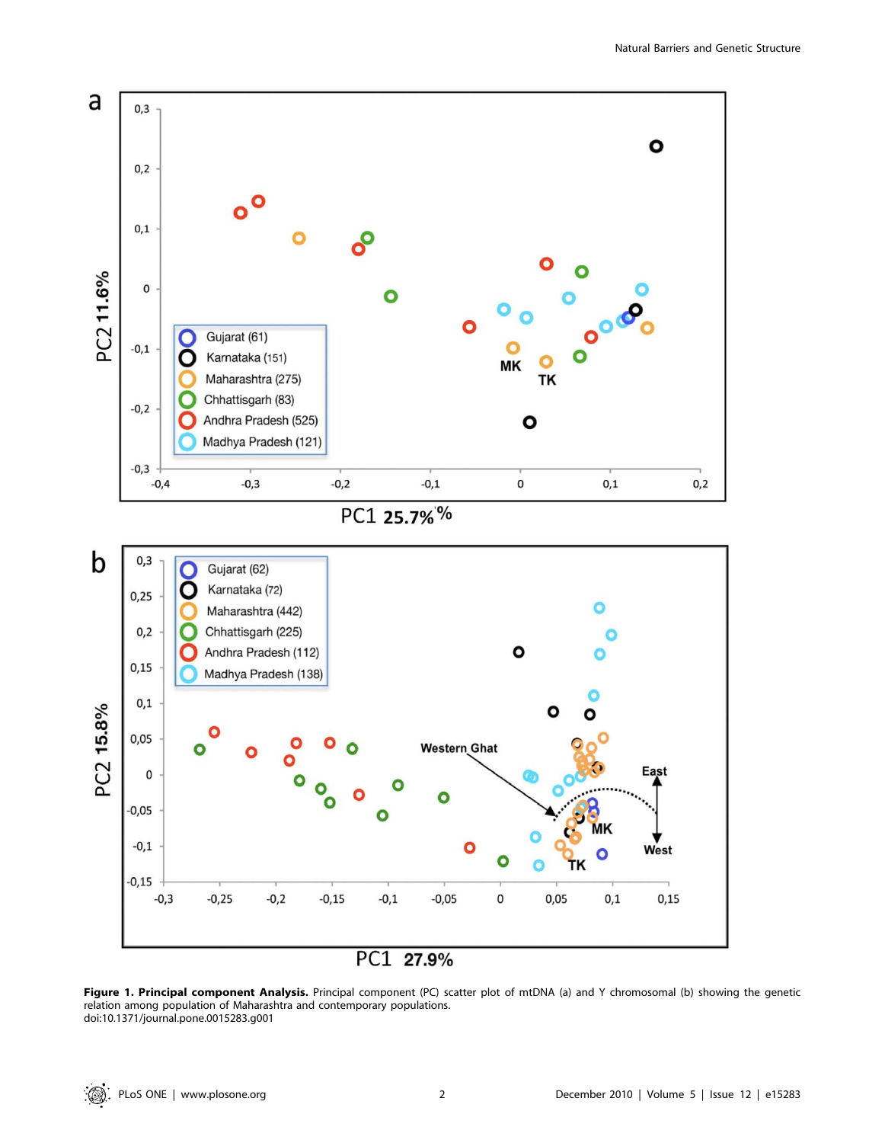

Figure 1. Principal component Analysis. Principal component (PC) scatter plot of mtDNA (a) and Y chromosomal (b) showing the genetic relation among population of Maharashtra and contemporary populations. doi:10.1371/journal.pone.0015283.g001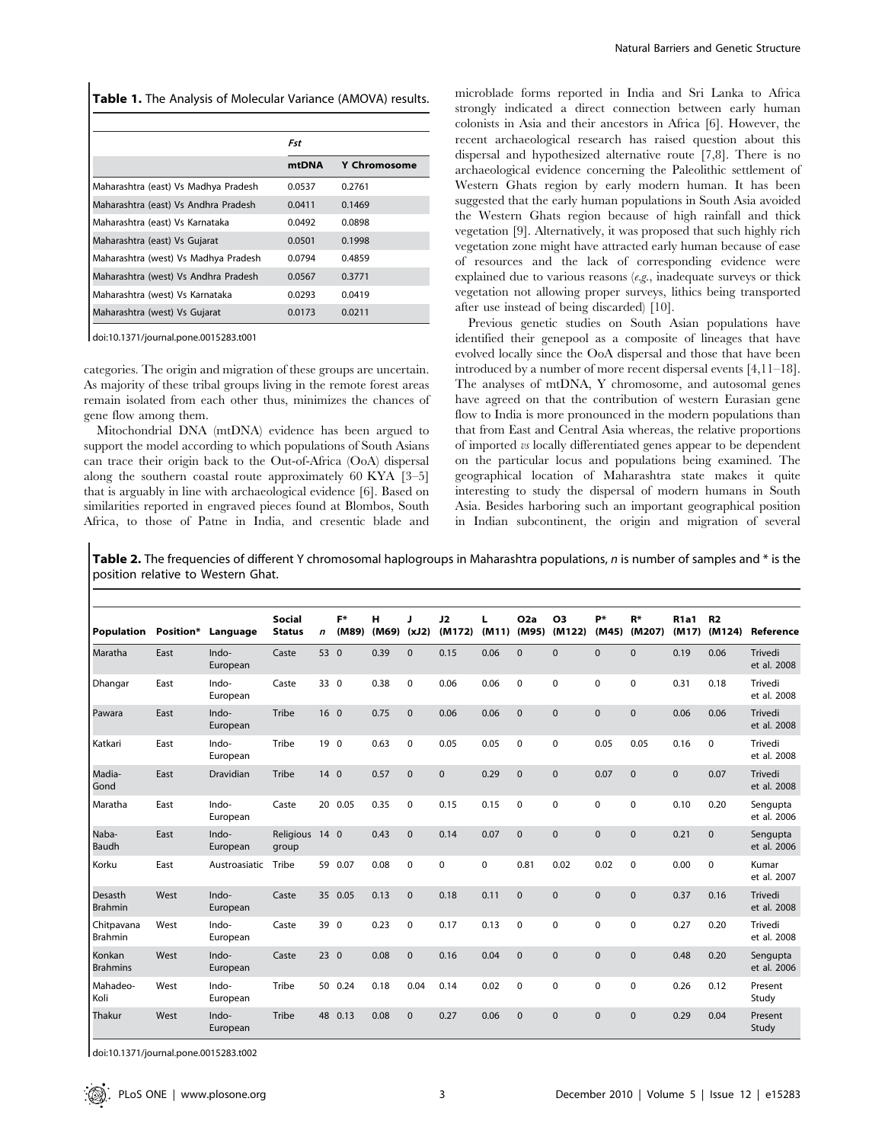|  |  |  |  |  |  | <b>Table 1.</b> The Analysis of Molecular Variance (AMOVA) results. |  |
|--|--|--|--|--|--|---------------------------------------------------------------------|--|
|--|--|--|--|--|--|---------------------------------------------------------------------|--|

|                                      | Fst    |                     |  |
|--------------------------------------|--------|---------------------|--|
|                                      | mtDNA  | <b>Y Chromosome</b> |  |
| Maharashtra (east) Vs Madhya Pradesh | 0.0537 | 0.2761              |  |
| Maharashtra (east) Vs Andhra Pradesh | 0.0411 | 0.1469              |  |
| Maharashtra (east) Vs Karnataka      | 0.0492 | 0.0898              |  |
| Maharashtra (east) Vs Gujarat        | 0.0501 | 0.1998              |  |
| Maharashtra (west) Vs Madhya Pradesh | 0.0794 | 0.4859              |  |
| Maharashtra (west) Vs Andhra Pradesh | 0.0567 | 0.3771              |  |
| Maharashtra (west) Vs Karnataka      | 0.0293 | 0.0419              |  |
| Maharashtra (west) Vs Gujarat        | 0.0173 | 0.0211              |  |

doi:10.1371/journal.pone.0015283.t001

categories. The origin and migration of these groups are uncertain. As majority of these tribal groups living in the remote forest areas remain isolated from each other thus, minimizes the chances of gene flow among them.

Mitochondrial DNA (mtDNA) evidence has been argued to support the model according to which populations of South Asians can trace their origin back to the Out-of-Africa (OoA) dispersal along the southern coastal route approximately 60 KYA [3–5] that is arguably in line with archaeological evidence [6]. Based on similarities reported in engraved pieces found at Blombos, South Africa, to those of Patne in India, and cresentic blade and microblade forms reported in India and Sri Lanka to Africa strongly indicated a direct connection between early human colonists in Asia and their ancestors in Africa [6]. However, the recent archaeological research has raised question about this dispersal and hypothesized alternative route [7,8]. There is no archaeological evidence concerning the Paleolithic settlement of Western Ghats region by early modern human. It has been suggested that the early human populations in South Asia avoided the Western Ghats region because of high rainfall and thick vegetation [9]. Alternatively, it was proposed that such highly rich vegetation zone might have attracted early human because of ease of resources and the lack of corresponding evidence were explained due to various reasons  $(e.g.,$  inadequate surveys or thick vegetation not allowing proper surveys, lithics being transported after use instead of being discarded) [10].

Previous genetic studies on South Asian populations have identified their genepool as a composite of lineages that have evolved locally since the OoA dispersal and those that have been introduced by a number of more recent dispersal events [4,11–18]. The analyses of mtDNA, Y chromosome, and autosomal genes have agreed on that the contribution of western Eurasian gene flow to India is more pronounced in the modern populations than that from East and Central Asia whereas, the relative proportions of imported vs locally differentiated genes appear to be dependent on the particular locus and populations being examined. The geographical location of Maharashtra state makes it quite interesting to study the dispersal of modern humans in South Asia. Besides harboring such an important geographical position in Indian subcontinent, the origin and migration of several

Table 2. The frequencies of different Y chromosomal haplogroups in Maharashtra populations, n is number of samples and \* is the position relative to Western Ghat.

|                           |           |                   | <b>Social</b>           |                 | F*      | н     | п            | J2           | L     | O2a          | O <sub>3</sub> | p*           | $R*$         | <b>R1a1</b> | R <sub>2</sub> |                         |
|---------------------------|-----------|-------------------|-------------------------|-----------------|---------|-------|--------------|--------------|-------|--------------|----------------|--------------|--------------|-------------|----------------|-------------------------|
| Population                | Position* | Language          | <b>Status</b>           | $\mathbf n$     | (M89)   | (M69) | (xJ2)        | (M172)       | (M11) | (M95)        | (M122)         | (M45)        | (M207)       | (M17)       | (M124)         | Reference               |
| Maratha                   | East      | Indo-<br>European | Caste                   | 53 0            |         | 0.39  | $\mathbf{0}$ | 0.15         | 0.06  | $\mathbf{0}$ | $\Omega$       | $\mathbf{0}$ | $\mathbf{0}$ | 0.19        | 0.06           | Trivedi<br>et al. 2008  |
| Dhangar                   | East      | Indo-<br>European | Caste                   | 33 0            |         | 0.38  | $\mathbf 0$  | 0.06         | 0.06  | $\mathbf 0$  | $\Omega$       | 0            | 0            | 0.31        | 0.18           | Trivedi<br>et al. 2008  |
| Pawara                    | East      | Indo-<br>European | Tribe                   | 16 <sub>0</sub> |         | 0.75  | $\mathbf{0}$ | 0.06         | 0.06  | $\Omega$     | $\Omega$       | $\mathbf 0$  | $\pmb{0}$    | 0.06        | 0.06           | Trivedi<br>et al. 2008  |
| Katkari                   | East      | Indo-<br>European | Tribe                   | 19 <sub>0</sub> |         | 0.63  | $\mathbf 0$  | 0.05         | 0.05  | $\mathbf 0$  | $\mathbf 0$    | 0.05         | 0.05         | 0.16        | $\mathbf 0$    | Trivedi<br>et al. 2008  |
| Madia-<br>Gond            | East      | Dravidian         | Tribe                   | 140             |         | 0.57  | $\mathbf{0}$ | $\mathbf{0}$ | 0.29  | $\Omega$     | $\mathbf{0}$   | 0.07         | $\mathbf{0}$ | $\mathbf 0$ | 0.07           | Trivedi<br>et al. 2008  |
| Maratha                   | East      | Indo-<br>European | Caste                   |                 | 20 0.05 | 0.35  | $\mathbf 0$  | 0.15         | 0.15  | $\mathbf 0$  | $\Omega$       | 0            | $\mathbf 0$  | 0.10        | 0.20           | Sengupta<br>et al. 2006 |
| Naba-<br>Baudh            | East      | Indo-<br>European | Religious 14 0<br>group |                 |         | 0.43  | $\mathbf{0}$ | 0.14         | 0.07  | $\mathbf{0}$ | $\mathbf{0}$   | $\mathbf 0$  | $\mathbf{0}$ | 0.21        | $\mathbf{0}$   | Sengupta<br>et al. 2006 |
| Korku                     | East      | Austroasiatic     | Tribe                   |                 | 59 0.07 | 0.08  | $\mathbf 0$  | 0            | 0     | 0.81         | 0.02           | 0.02         | $\pmb{0}$    | 0.00        | $\mathbf 0$    | Kumar<br>et al. 2007    |
| Desasth<br>Brahmin        | West      | Indo-<br>European | Caste                   |                 | 35 0.05 | 0.13  | $\mathbf{0}$ | 0.18         | 0.11  | $\mathbf{0}$ | $\mathbf{0}$   | $\mathbf 0$  | $\pmb{0}$    | 0.37        | 0.16           | Trivedi<br>et al. 2008  |
| Chitpavana<br>Brahmin     | West      | Indo-<br>European | Caste                   | 39 0            |         | 0.23  | $\mathbf 0$  | 0.17         | 0.13  | $\mathbf 0$  | $\mathbf 0$    | 0            | 0            | 0.27        | 0.20           | Trivedi<br>et al. 2008  |
| Konkan<br><b>Brahmins</b> | West      | Indo-<br>European | Caste                   | 230             |         | 0.08  | $\mathbf{0}$ | 0.16         | 0.04  | $\Omega$     | $\Omega$       | $\Omega$     | $\mathbf{0}$ | 0.48        | 0.20           | Sengupta<br>et al. 2006 |
| Mahadeo-<br>Koli          | West      | Indo-<br>European | Tribe                   |                 | 50 0.24 | 0.18  | 0.04         | 0.14         | 0.02  | 0            | 0              | 0            | 0            | 0.26        | 0.12           | Present<br>Study        |
| Thakur                    | West      | Indo-<br>European | Tribe                   |                 | 48 0.13 | 0.08  | $\mathbf{0}$ | 0.27         | 0.06  | $\mathbf{0}$ | $\mathbf{0}$   | $\mathbf{0}$ | $\mathbf{0}$ | 0.29        | 0.04           | Present<br>Study        |

doi:10.1371/journal.pone.0015283.t002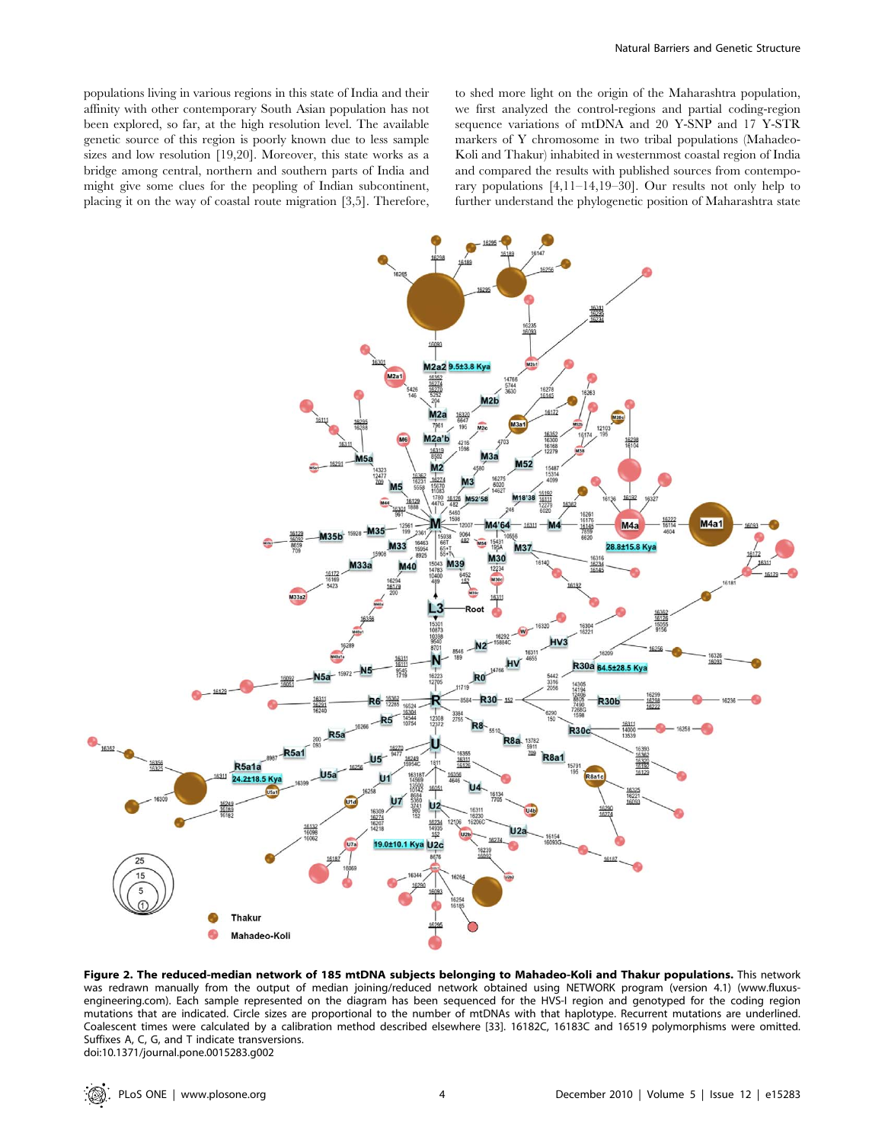populations living in various regions in this state of India and their affinity with other contemporary South Asian population has not been explored, so far, at the high resolution level. The available genetic source of this region is poorly known due to less sample sizes and low resolution [19,20]. Moreover, this state works as a bridge among central, northern and southern parts of India and might give some clues for the peopling of Indian subcontinent, placing it on the way of coastal route migration [3,5]. Therefore, to shed more light on the origin of the Maharashtra population, we first analyzed the control-regions and partial coding-region sequence variations of mtDNA and 20 Y-SNP and 17 Y-STR markers of Y chromosome in two tribal populations (Mahadeo-Koli and Thakur) inhabited in westernmost coastal region of India and compared the results with published sources from contemporary populations [4,11–14,19–30]. Our results not only help to further understand the phylogenetic position of Maharashtra state



Figure 2. The reduced-median network of 185 mtDNA subjects belonging to Mahadeo-Koli and Thakur populations. This network was redrawn manually from the output of median joining/reduced network obtained using NETWORK program (version 4.1) (www.fluxusengineering.com). Each sample represented on the diagram has been sequenced for the HVS-I region and genotyped for the coding region mutations that are indicated. Circle sizes are proportional to the number of mtDNAs with that haplotype. Recurrent mutations are underlined. Coalescent times were calculated by a calibration method described elsewhere [33]. 16182C, 16183C and 16519 polymorphisms were omitted. Suffixes A, C, G, and T indicate transversions. doi:10.1371/journal.pone.0015283.g002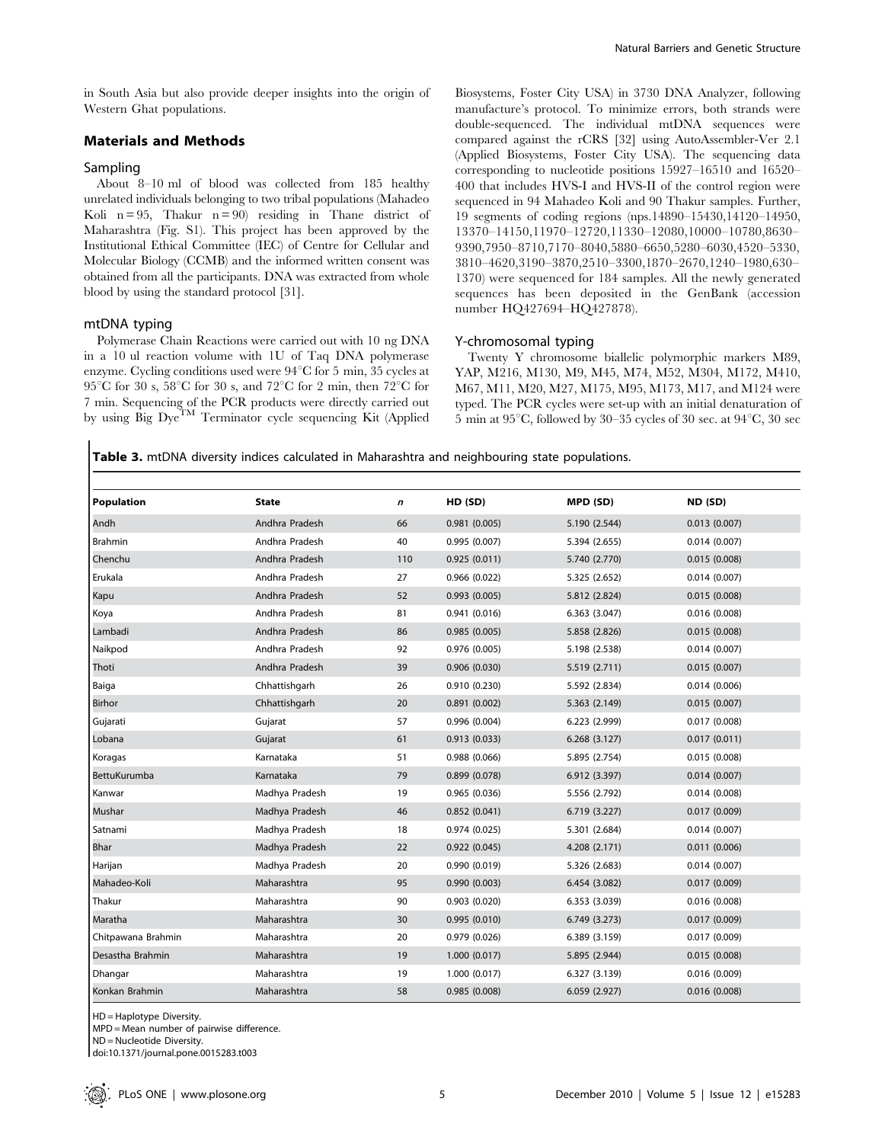in South Asia but also provide deeper insights into the origin of Western Ghat populations.

### Materials and Methods

# Sampling

About 8–10 ml of blood was collected from 185 healthy unrelated individuals belonging to two tribal populations (Mahadeo Koli  $n = 95$ , Thakur  $n = 90$  residing in Thane district of Maharashtra (Fig. S1). This project has been approved by the Institutional Ethical Committee (IEC) of Centre for Cellular and Molecular Biology (CCMB) and the informed written consent was obtained from all the participants. DNA was extracted from whole blood by using the standard protocol [31].

#### mtDNA typing

Polymerase Chain Reactions were carried out with 10 ng DNA in a 10 ul reaction volume with 1U of Taq DNA polymerase enzyme. Cycling conditions used were 94°C for 5 min, 35 cycles at 95°C for 30 s, 58°C for 30 s, and 72°C for 2 min, then 72°C for 7 min. Sequencing of the PCR products were directly carried out by using Big Dye<sup>TM</sup> Terminator cycle sequencing Kit (Applied Biosystems, Foster City USA) in 3730 DNA Analyzer, following manufacture's protocol. To minimize errors, both strands were double-sequenced. The individual mtDNA sequences were compared against the rCRS [32] using AutoAssembler-Ver 2.1 (Applied Biosystems, Foster City USA). The sequencing data corresponding to nucleotide positions 15927–16510 and 16520– 400 that includes HVS-I and HVS-II of the control region were sequenced in 94 Mahadeo Koli and 90 Thakur samples. Further, 19 segments of coding regions (nps.14890–15430,14120–14950, 13370–14150,11970–12720,11330–12080,10000–10780,8630– 9390,7950–8710,7170–8040,5880–6650,5280–6030,4520–5330, 3810–4620,3190–3870,2510–3300,1870–2670,1240–1980,630– 1370) were sequenced for 184 samples. All the newly generated sequences has been deposited in the GenBank (accession number HQ427694–HQ427878).

#### Y-chromosomal typing

Twenty Y chromosome biallelic polymorphic markers M89, YAP, M216, M130, M9, M45, M74, M52, M304, M172, M410, M67, M11, M20, M27, M175, M95, M173, M17, and M124 were typed. The PCR cycles were set-up with an initial denaturation of 5 min at  $95^{\circ}$ C, followed by 30–35 cycles of 30 sec. at  $94^{\circ}$ C, 30 sec

Table 3. mtDNA diversity indices calculated in Maharashtra and neighbouring state populations.

| <b>Population</b>   | <b>State</b>   | $\boldsymbol{n}$ | HD (SD)       | MPD (SD)      | ND (SD)      |
|---------------------|----------------|------------------|---------------|---------------|--------------|
| Andh                | Andhra Pradesh | 66               | 0.981(0.005)  | 5.190 (2.544) | 0.013(0.007) |
| Brahmin             | Andhra Pradesh | 40               | 0.995(0.007)  | 5.394 (2.655) | 0.014(0.007) |
| Chenchu             | Andhra Pradesh | 110              | 0.925(0.011)  | 5.740 (2.770) | 0.015(0.008) |
| Erukala             | Andhra Pradesh | 27               | 0.966(0.022)  | 5.325 (2.652) | 0.014(0.007) |
| Kapu                | Andhra Pradesh | 52               | 0.993(0.005)  | 5.812 (2.824) | 0.015(0.008) |
| Koya                | Andhra Pradesh | 81               | 0.941(0.016)  | 6.363(3.047)  | 0.016(0.008) |
| Lambadi             | Andhra Pradesh | 86               | 0.985(0.005)  | 5.858 (2.826) | 0.015(0.008) |
| Naikpod             | Andhra Pradesh | 92               | 0.976(0.005)  | 5.198 (2.538) | 0.014(0.007) |
| Thoti               | Andhra Pradesh | 39               | 0.906(0.030)  | 5.519 (2.711) | 0.015(0.007) |
| Baiga               | Chhattishgarh  | 26               | 0.910(0.230)  | 5.592 (2.834) | 0.014(0.006) |
| Birhor              | Chhattishgarh  | 20               | 0.891(0.002)  | 5.363 (2.149) | 0.015(0.007) |
| Gujarati            | Gujarat        | 57               | 0.996(0.004)  | 6.223 (2.999) | 0.017(0.008) |
| Lobana              | Gujarat        | 61               | 0.913(0.033)  | 6.268(3.127)  | 0.017(0.011) |
| Koragas             | Karnataka      | 51               | 0.988(0.066)  | 5.895 (2.754) | 0.015(0.008) |
| <b>BettuKurumba</b> | Karnataka      | 79               | 0.899(0.078)  | 6.912 (3.397) | 0.014(0.007) |
| Kanwar              | Madhya Pradesh | 19               | 0.965(0.036)  | 5.556 (2.792) | 0.014(0.008) |
| Mushar              | Madhya Pradesh | 46               | 0.852(0.041)  | 6.719 (3.227) | 0.017(0.009) |
| Satnami             | Madhya Pradesh | 18               | 0.974(0.025)  | 5.301 (2.684) | 0.014(0.007) |
| <b>Bhar</b>         | Madhya Pradesh | 22               | 0.922(0.045)  | 4.208 (2.171) | 0.011(0.006) |
| Harijan             | Madhya Pradesh | 20               | 0.990 (0.019) | 5.326 (2.683) | 0.014(0.007) |
| Mahadeo-Koli        | Maharashtra    | 95               | 0.990(0.003)  | 6.454 (3.082) | 0.017(0.009) |
| Thakur              | Maharashtra    | 90               | 0.903(0.020)  | 6.353 (3.039) | 0.016(0.008) |
| Maratha             | Maharashtra    | 30               | 0.995(0.010)  | 6.749(3.273)  | 0.017(0.009) |
| Chitpawana Brahmin  | Maharashtra    | 20               | 0.979 (0.026) | 6.389 (3.159) | 0.017(0.009) |
| Desastha Brahmin    | Maharashtra    | 19               | 1.000(0.017)  | 5.895 (2.944) | 0.015(0.008) |
| Dhangar             | Maharashtra    | 19               | 1.000 (0.017) | 6.327 (3.139) | 0.016(0.009) |
| Konkan Brahmin      | Maharashtra    | 58               | 0.985(0.008)  | 6.059 (2.927) | 0.016(0.008) |

HD = Haplotype Diversity.

MPD = Mean number of pairwise difference.

ND = Nucleotide Diversity.

doi:10.1371/journal.pone.0015283.t003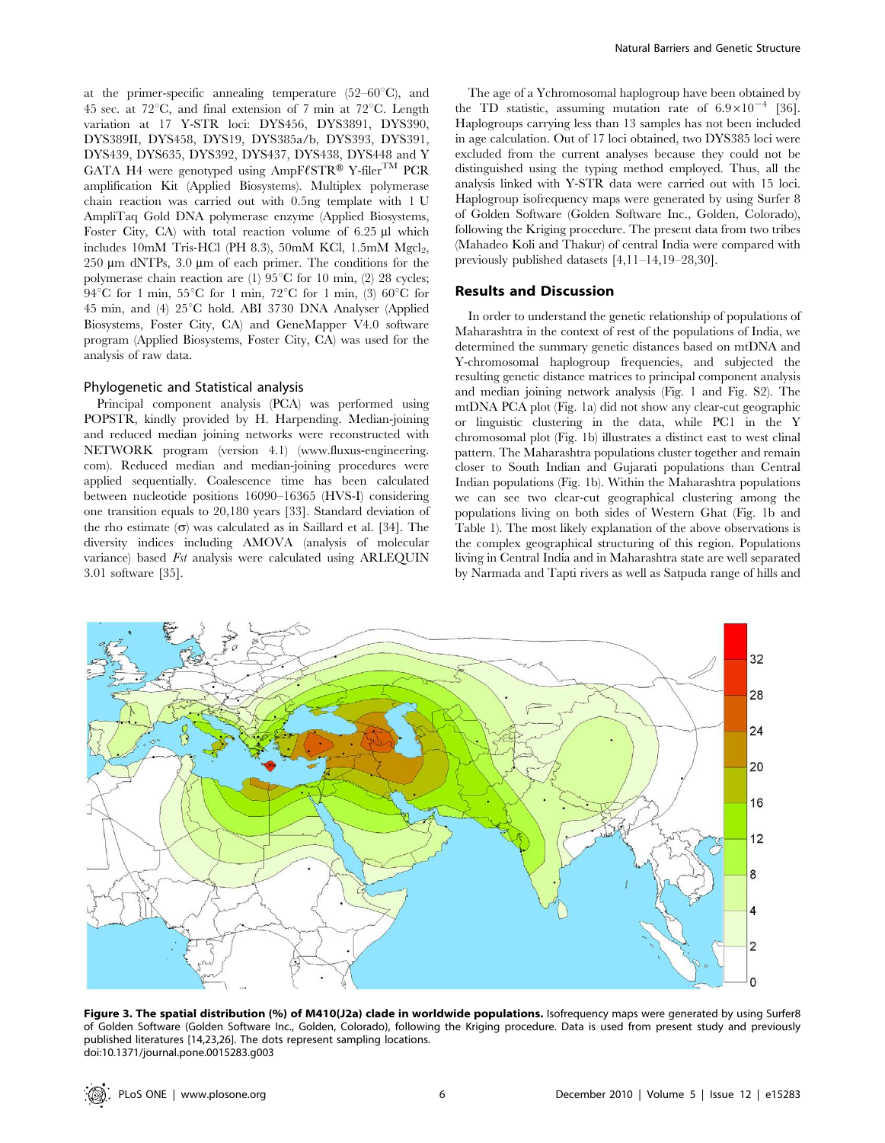at the primer-specific annealing temperature  $(52-60^{\circ}C)$ , and 45 sec. at  $72^{\circ}$ C, and final extension of 7 min at  $72^{\circ}$ C. Length variation at 17 Y-STR loci: DYS456, DYS3891, DYS390, DYS389II, DYS458, DYS19, DYS385a/b, DYS393, DYS391, DYS439, DYS635, DYS392, DYS437, DYS438, DYS448 and Y GATA H4 were genotyped using AmpF $\ell$ STR® Y-filer<sup>TM</sup> PCR amplification Kit (Applied Biosystems). Multiplex polymerase chain reaction was carried out with 0.5ng template with 1 U AmpliTaq Gold DNA polymerase enzyme (Applied Biosystems, Foster City, CA) with total reaction volume of 6.25 µl which  $\rm{includes\enskip 10mm}\rm{M}$  Tris-HCl (PH 8.3), 50 $\rm{mM}\enskip$ KCl, 1.5 $\rm{mM}\enskip$ Mgcl $\rm{_{2},}$ 250 µm dNTPs, 3.0 µm of each primer. The conditions for the polymerase chain reaction are (1)  $95^{\circ}$ C for 10 min, (2) 28 cycles; 94 $\rm ^{\circ}C$  for 1 min, 55 $\rm ^{\circ}C$  for 1 min, 72 $\rm ^{\circ}C$  for 1 min, (3) 60 $\rm ^{\circ}C$  for 45 min, and (4) 25°C hold. ABI 3730 DNA Analyser (Applied Biosystems, Foster City, CA) and GeneMapper V4.0 software program (Applied Biosystems, Foster City, CA) was used for the analysis of raw data.

#### Phylogenetic and Statistical analysis

Principal component analysis (PCA) was performed using POPSTR, kindly provided by H. Harpending. Median-joining and reduced median joining networks were reconstructed with NETWORK program (version 4.1) (www.fluxus-engineering. com). Reduced median and median-joining procedures were applied sequentially. Coalescence time has been calculated between nucleotide positions 16090–16365 (HVS-I) considering one transition equals to 20,180 years [33]. Standard deviation of the rho estimate  $(\sigma)$  was calculated as in Saillard et al. [34]. The diversity indices including AMOVA (analysis of molecular variance) based Fst analysis were calculated using ARLEQUIN 3.01 software [35].

The age of a Ychromosomal haplogroup have been obtained by the TD statistic, assuming mutation rate of  $6.9 \times 10^{-4}$  [36]. Haplogroups carrying less than 13 samples has not been included in age calculation. Out of 17 loci obtained, two DYS385 loci were excluded from the current analyses because they could not be distinguished using the typing method employed. Thus, all the analysis linked with Y-STR data were carried out with 15 loci. Haplogroup isofrequency maps were generated by using Surfer 8 of Golden Software (Golden Software Inc., Golden, Colorado), following the Kriging procedure. The present data from two tribes (Mahadeo Koli and Thakur) of central India were compared with previously published datasets [4,11–14,19–28,30].

# Results and Discussion

In order to understand the genetic relationship of populations of Maharashtra in the context of rest of the populations of India, we determined the summary genetic distances based on mtDNA and Y-chromosomal haplogroup frequencies, and subjected the resulting genetic distance matrices to principal component analysis and median joining network analysis (Fig. 1 and Fig. S2). The mtDNA PCA plot (Fig. 1a) did not show any clear-cut geographic or linguistic clustering in the data, while PC1 in the Y chromosomal plot (Fig. 1b) illustrates a distinct east to west clinal pattern. The Maharashtra populations cluster together and remain closer to South Indian and Gujarati populations than Central Indian populations (Fig. 1b). Within the Maharashtra populations we can see two clear-cut geographical clustering among the populations living on both sides of Western Ghat (Fig. 1b and Table 1). The most likely explanation of the above observations is the complex geographical structuring of this region. Populations living in Central India and in Maharashtra state are well separated by Narmada and Tapti rivers as well as Satpuda range of hills and



Figure 3. The spatial distribution (%) of M410(J2a) clade in worldwide populations. Isofrequency maps were generated by using Surfer8 of Golden Software (Golden Software Inc., Golden, Colorado), following the Kriging procedure. Data is used from present study and previously published literatures [14,23,26]. The dots represent sampling locations. doi:10.1371/journal.pone.0015283.g003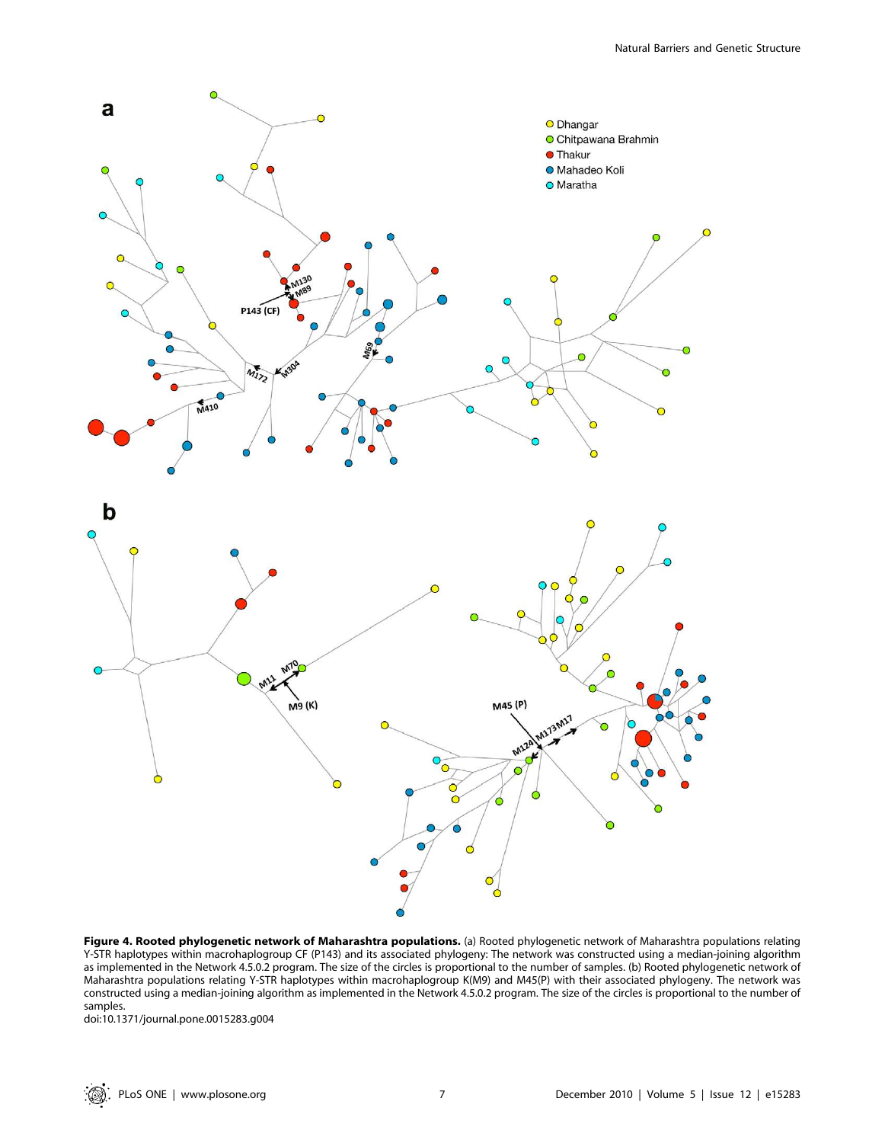

Figure 4. Rooted phylogenetic network of Maharashtra populations. (a) Rooted phylogenetic network of Maharashtra populations relating Y-STR haplotypes within macrohaplogroup CF (P143) and its associated phylogeny: The network was constructed using a median-joining algorithm as implemented in the Network 4.5.0.2 program. The size of the circles is proportional to the number of samples. (b) Rooted phylogenetic network of Maharashtra populations relating Y-STR haplotypes within macrohaplogroup K(M9) and M45(P) with their associated phylogeny. The network was constructed using a median-joining algorithm as implemented in the Network 4.5.0.2 program. The size of the circles is proportional to the number of samples.

doi:10.1371/journal.pone.0015283.g004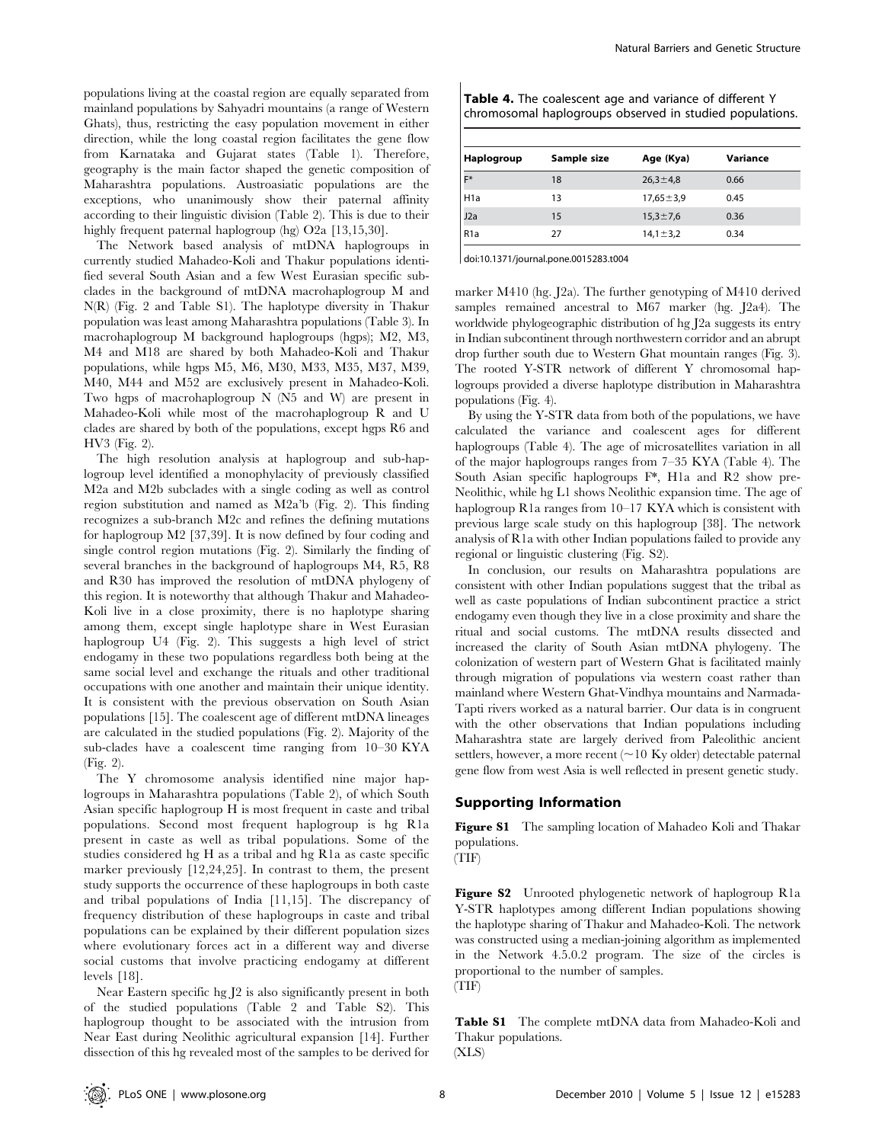populations living at the coastal region are equally separated from mainland populations by Sahyadri mountains (a range of Western Ghats), thus, restricting the easy population movement in either direction, while the long coastal region facilitates the gene flow from Karnataka and Gujarat states (Table 1). Therefore, geography is the main factor shaped the genetic composition of Maharashtra populations. Austroasiatic populations are the exceptions, who unanimously show their paternal affinity according to their linguistic division (Table 2). This is due to their highly frequent paternal haplogroup (hg) O2a [13,15,30].

The Network based analysis of mtDNA haplogroups in currently studied Mahadeo-Koli and Thakur populations identified several South Asian and a few West Eurasian specific subclades in the background of mtDNA macrohaplogroup M and N(R) (Fig. 2 and Table S1). The haplotype diversity in Thakur population was least among Maharashtra populations (Table 3). In macrohaplogroup M background haplogroups (hgps); M2, M3, M4 and M18 are shared by both Mahadeo-Koli and Thakur populations, while hgps M5, M6, M30, M33, M35, M37, M39, M40, M44 and M52 are exclusively present in Mahadeo-Koli. Two hgps of macrohaplogroup N (N5 and W) are present in Mahadeo-Koli while most of the macrohaplogroup R and U clades are shared by both of the populations, except hgps R6 and HV3 (Fig. 2).

The high resolution analysis at haplogroup and sub-haplogroup level identified a monophylacity of previously classified M2a and M2b subclades with a single coding as well as control region substitution and named as M2a'b (Fig. 2). This finding recognizes a sub-branch M2c and refines the defining mutations for haplogroup M2 [37,39]. It is now defined by four coding and single control region mutations (Fig. 2). Similarly the finding of several branches in the background of haplogroups M4, R5, R8 and R30 has improved the resolution of mtDNA phylogeny of this region. It is noteworthy that although Thakur and Mahadeo-Koli live in a close proximity, there is no haplotype sharing among them, except single haplotype share in West Eurasian haplogroup U4 (Fig. 2). This suggests a high level of strict endogamy in these two populations regardless both being at the same social level and exchange the rituals and other traditional occupations with one another and maintain their unique identity. It is consistent with the previous observation on South Asian populations [15]. The coalescent age of different mtDNA lineages are calculated in the studied populations (Fig. 2). Majority of the sub-clades have a coalescent time ranging from 10–30 KYA (Fig. 2).

The Y chromosome analysis identified nine major haplogroups in Maharashtra populations (Table 2), of which South Asian specific haplogroup H is most frequent in caste and tribal populations. Second most frequent haplogroup is hg R1a present in caste as well as tribal populations. Some of the studies considered hg H as a tribal and hg R1a as caste specific marker previously [12,24,25]. In contrast to them, the present study supports the occurrence of these haplogroups in both caste and tribal populations of India [11,15]. The discrepancy of frequency distribution of these haplogroups in caste and tribal populations can be explained by their different population sizes where evolutionary forces act in a different way and diverse social customs that involve practicing endogamy at different levels [18].

Near Eastern specific hg J2 is also significantly present in both of the studied populations (Table 2 and Table S2). This haplogroup thought to be associated with the intrusion from Near East during Neolithic agricultural expansion [14]. Further dissection of this hg revealed most of the samples to be derived for

| <b>Table 4.</b> The coalescent age and variance of different Y |
|----------------------------------------------------------------|
| chromosomal haplogroups observed in studied populations.       |

| <b>Haplogroup</b> | Sample size | Age (Kya)       | Variance |  |  |
|-------------------|-------------|-----------------|----------|--|--|
| IF*               | 18          | $26,3 \pm 4,8$  | 0.66     |  |  |
| H <sub>1a</sub>   | 13          | $17,65 \pm 3,9$ | 0.45     |  |  |
| J2a               | 15          | $15,3 \pm 7,6$  | 0.36     |  |  |
| R <sub>1a</sub>   | 27          | $14,1 \pm 3,2$  | 0.34     |  |  |

doi:10.1371/journal.pone.0015283.t004

marker M410 (hg. J2a). The further genotyping of M410 derived samples remained ancestral to M67 marker (hg. J2a4). The worldwide phylogeographic distribution of hg J2a suggests its entry in Indian subcontinent through northwestern corridor and an abrupt drop further south due to Western Ghat mountain ranges (Fig. 3). The rooted Y-STR network of different Y chromosomal haplogroups provided a diverse haplotype distribution in Maharashtra populations (Fig. 4).

By using the Y-STR data from both of the populations, we have calculated the variance and coalescent ages for different haplogroups (Table 4). The age of microsatellites variation in all of the major haplogroups ranges from 7–35 KYA (Table 4). The South Asian specific haplogroups F\*, H1a and R2 show pre-Neolithic, while hg L1 shows Neolithic expansion time. The age of haplogroup R1a ranges from 10–17 KYA which is consistent with previous large scale study on this haplogroup [38]. The network analysis of R1a with other Indian populations failed to provide any regional or linguistic clustering (Fig. S2).

In conclusion, our results on Maharashtra populations are consistent with other Indian populations suggest that the tribal as well as caste populations of Indian subcontinent practice a strict endogamy even though they live in a close proximity and share the ritual and social customs. The mtDNA results dissected and increased the clarity of South Asian mtDNA phylogeny. The colonization of western part of Western Ghat is facilitated mainly through migration of populations via western coast rather than mainland where Western Ghat-Vindhya mountains and Narmada-Tapti rivers worked as a natural barrier. Our data is in congruent with the other observations that Indian populations including Maharashtra state are largely derived from Paleolithic ancient settlers, however, a more recent  $($   $\sim$  10 Ky older) detectable paternal gene flow from west Asia is well reflected in present genetic study.

### Supporting Information

Figure S1 The sampling location of Mahadeo Koli and Thakar populations.



Figure S2 Unrooted phylogenetic network of haplogroup R1a Y-STR haplotypes among different Indian populations showing the haplotype sharing of Thakur and Mahadeo-Koli. The network was constructed using a median-joining algorithm as implemented in the Network 4.5.0.2 program. The size of the circles is proportional to the number of samples. (TIF)

Table S1 The complete mtDNA data from Mahadeo-Koli and Thakur populations.

(XLS)